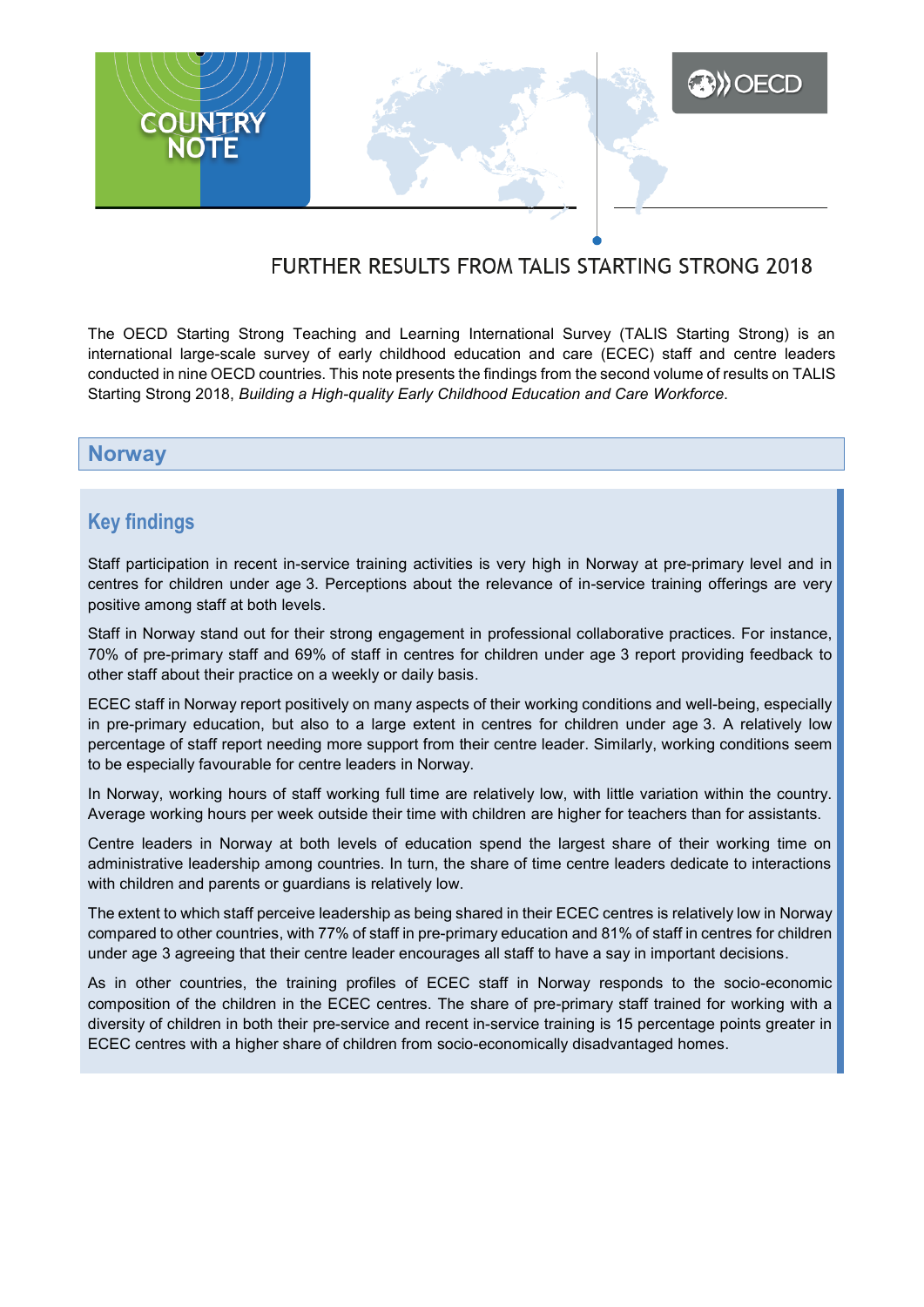

# FURTHER RESULTS FROM TALIS STARTING STRONG 2018

The OECD Starting Strong Teaching and Learning International Survey (TALIS Starting Strong) is an international large-scale survey of early childhood education and care (ECEC) staff and centre leaders conducted in nine OECD countries. This note presents the findings from the second volume of results on TALIS Starting Strong 2018, *Building a High-quality Early Childhood Education and Care Workforce*.

### **Norway**

## **Key findings**

Staff participation in recent in-service training activities is very high in Norway at pre-primary level and in centres for children under age 3. Perceptions about the relevance of in-service training offerings are very positive among staff at both levels.

Staff in Norway stand out for their strong engagement in professional collaborative practices. For instance, 70% of pre-primary staff and 69% of staff in centres for children under age 3 report providing feedback to other staff about their practice on a weekly or daily basis.

ECEC staff in Norway report positively on many aspects of their working conditions and well-being, especially in pre-primary education, but also to a large extent in centres for children under age 3. A relatively low percentage of staff report needing more support from their centre leader. Similarly, working conditions seem to be especially favourable for centre leaders in Norway.

In Norway, working hours of staff working full time are relatively low, with little variation within the country. Average working hours per week outside their time with children are higher for teachers than for assistants.

Centre leaders in Norway at both levels of education spend the largest share of their working time on administrative leadership among countries. In turn, the share of time centre leaders dedicate to interactions with children and parents or guardians is relatively low.

The extent to which staff perceive leadership as being shared in their ECEC centres is relatively low in Norway compared to other countries, with 77% of staff in pre-primary education and 81% of staff in centres for children under age 3 agreeing that their centre leader encourages all staff to have a say in important decisions.

As in other countries, the training profiles of ECEC staff in Norway responds to the socio-economic composition of the children in the ECEC centres. The share of pre-primary staff trained for working with a diversity of children in both their pre-service and recent in-service training is 15 percentage points greater in ECEC centres with a higher share of children from socio-economically disadvantaged homes.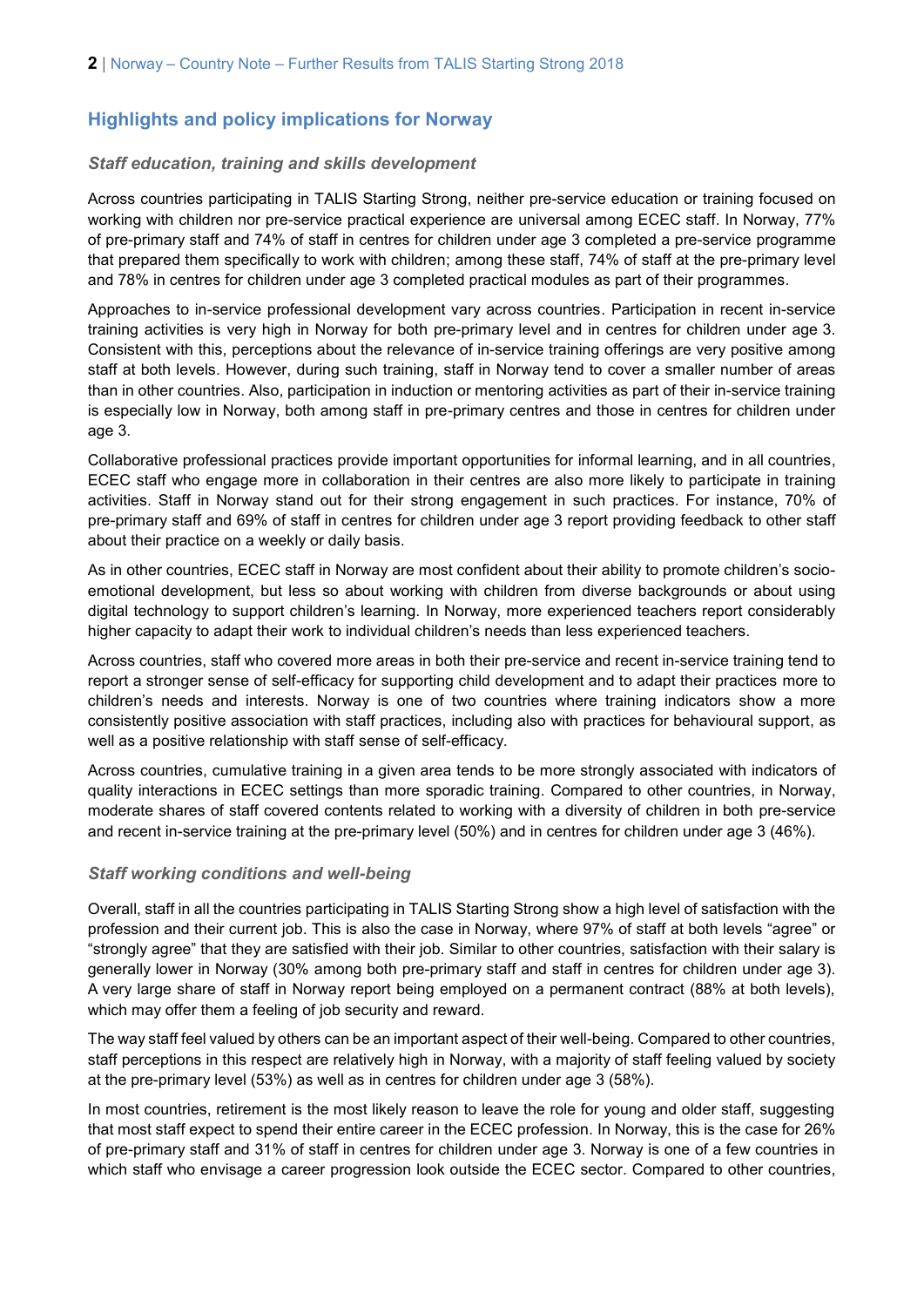## **Highlights and policy implications for Norway**

#### *Staff education, training and skills development*

Across countries participating in TALIS Starting Strong, neither pre-service education or training focused on working with children nor pre-service practical experience are universal among ECEC staff. In Norway, 77% of pre-primary staff and 74% of staff in centres for children under age 3 completed a pre-service programme that prepared them specifically to work with children; among these staff, 74% of staff at the pre-primary level and 78% in centres for children under age 3 completed practical modules as part of their programmes.

Approaches to in-service professional development vary across countries. Participation in recent in-service training activities is very high in Norway for both pre-primary level and in centres for children under age 3. Consistent with this, perceptions about the relevance of in-service training offerings are very positive among staff at both levels. However, during such training, staff in Norway tend to cover a smaller number of areas than in other countries. Also, participation in induction or mentoring activities as part of their in-service training is especially low in Norway, both among staff in pre-primary centres and those in centres for children under age 3.

Collaborative professional practices provide important opportunities for informal learning, and in all countries, ECEC staff who engage more in collaboration in their centres are also more likely to participate in training activities. Staff in Norway stand out for their strong engagement in such practices. For instance, 70% of pre-primary staff and 69% of staff in centres for children under age 3 report providing feedback to other staff about their practice on a weekly or daily basis.

As in other countries, ECEC staff in Norway are most confident about their ability to promote children's socioemotional development, but less so about working with children from diverse backgrounds or about using digital technology to support children's learning. In Norway, more experienced teachers report considerably higher capacity to adapt their work to individual children's needs than less experienced teachers.

Across countries, staff who covered more areas in both their pre-service and recent in-service training tend to report a stronger sense of self-efficacy for supporting child development and to adapt their practices more to children's needs and interests. Norway is one of two countries where training indicators show a more consistently positive association with staff practices, including also with practices for behavioural support, as well as a positive relationship with staff sense of self-efficacy.

Across countries, cumulative training in a given area tends to be more strongly associated with indicators of quality interactions in ECEC settings than more sporadic training. Compared to other countries, in Norway, moderate shares of staff covered contents related to working with a diversity of children in both pre-service and recent in-service training at the pre-primary level (50%) and in centres for children under age 3 (46%).

#### *Staff working conditions and well-being*

Overall, staff in all the countries participating in TALIS Starting Strong show a high level of satisfaction with the profession and their current job. This is also the case in Norway, where 97% of staff at both levels "agree" or "strongly agree" that they are satisfied with their job. Similar to other countries, satisfaction with their salary is generally lower in Norway (30% among both pre-primary staff and staff in centres for children under age 3). A very large share of staff in Norway report being employed on a permanent contract (88% at both levels), which may offer them a feeling of job security and reward.

The way staff feel valued by others can be an important aspect of their well-being. Compared to other countries, staff perceptions in this respect are relatively high in Norway, with a majority of staff feeling valued by society at the pre-primary level (53%) as well as in centres for children under age 3 (58%).

In most countries, retirement is the most likely reason to leave the role for young and older staff, suggesting that most staff expect to spend their entire career in the ECEC profession. In Norway, this is the case for 26% of pre-primary staff and 31% of staff in centres for children under age 3. Norway is one of a few countries in which staff who envisage a career progression look outside the ECEC sector. Compared to other countries,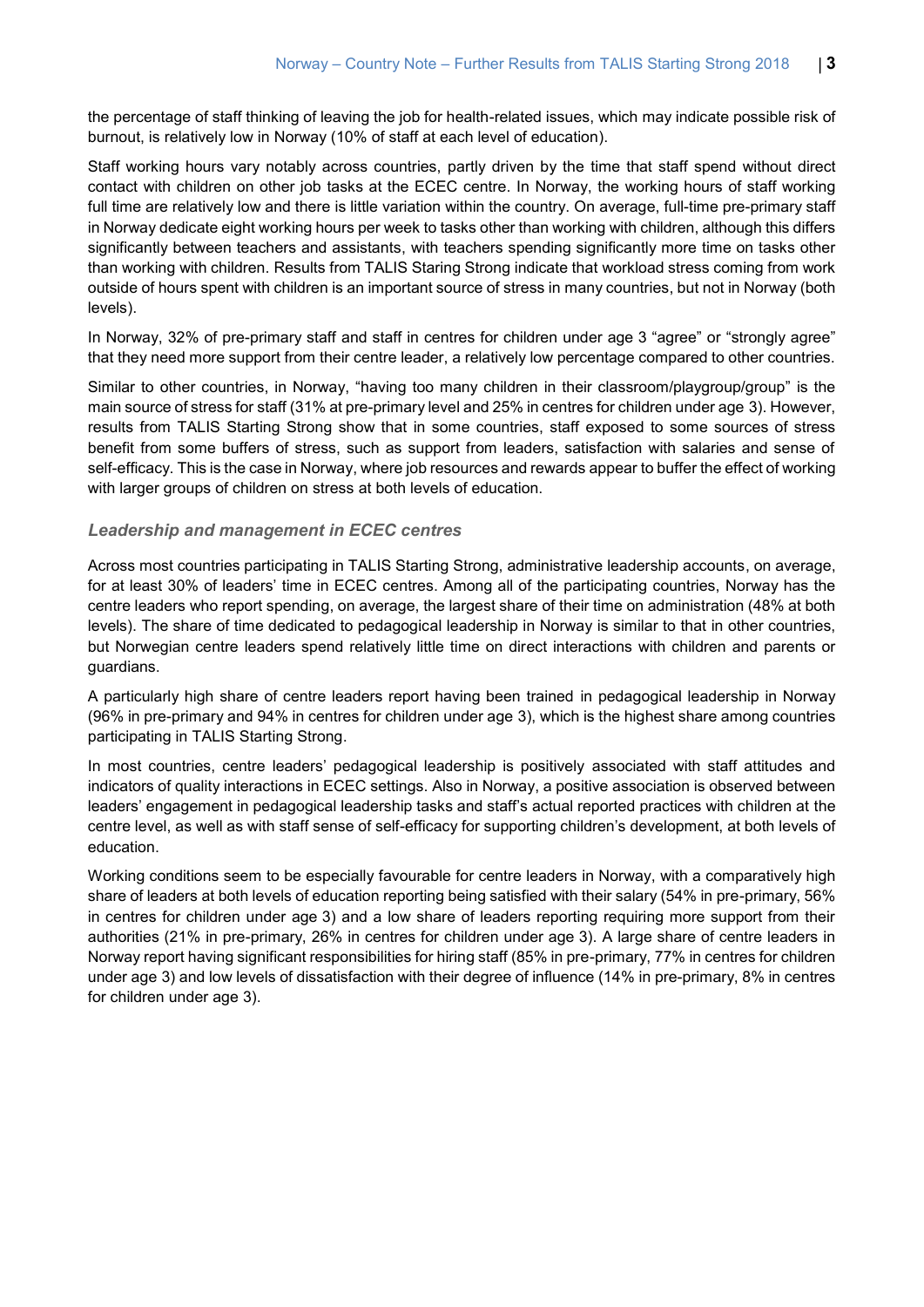the percentage of staff thinking of leaving the job for health-related issues, which may indicate possible risk of burnout, is relatively low in Norway (10% of staff at each level of education).

Staff working hours vary notably across countries, partly driven by the time that staff spend without direct contact with children on other job tasks at the ECEC centre. In Norway, the working hours of staff working full time are relatively low and there is little variation within the country. On average, full-time pre-primary staff in Norway dedicate eight working hours per week to tasks other than working with children, although this differs significantly between teachers and assistants, with teachers spending significantly more time on tasks other than working with children. Results from TALIS Staring Strong indicate that workload stress coming from work outside of hours spent with children is an important source of stress in many countries, but not in Norway (both levels).

In Norway, 32% of pre-primary staff and staff in centres for children under age 3 "agree" or "strongly agree" that they need more support from their centre leader, a relatively low percentage compared to other countries.

Similar to other countries, in Norway, "having too many children in their classroom/playgroup/group" is the main source of stress for staff (31% at pre-primary level and 25% in centres for children under age 3). However, results from TALIS Starting Strong show that in some countries, staff exposed to some sources of stress benefit from some buffers of stress, such as support from leaders, satisfaction with salaries and sense of self-efficacy. This is the case in Norway, where job resources and rewards appear to buffer the effect of working with larger groups of children on stress at both levels of education.

#### *Leadership and management in ECEC centres*

Across most countries participating in TALIS Starting Strong, administrative leadership accounts, on average, for at least 30% of leaders' time in ECEC centres. Among all of the participating countries, Norway has the centre leaders who report spending, on average, the largest share of their time on administration (48% at both levels). The share of time dedicated to pedagogical leadership in Norway is similar to that in other countries, but Norwegian centre leaders spend relatively little time on direct interactions with children and parents or guardians.

A particularly high share of centre leaders report having been trained in pedagogical leadership in Norway (96% in pre-primary and 94% in centres for children under age 3), which is the highest share among countries participating in TALIS Starting Strong.

In most countries, centre leaders' pedagogical leadership is positively associated with staff attitudes and indicators of quality interactions in ECEC settings. Also in Norway, a positive association is observed between leaders' engagement in pedagogical leadership tasks and staff's actual reported practices with children at the centre level, as well as with staff sense of self-efficacy for supporting children's development, at both levels of education.

Working conditions seem to be especially favourable for centre leaders in Norway, with a comparatively high share of leaders at both levels of education reporting being satisfied with their salary (54% in pre-primary, 56% in centres for children under age 3) and a low share of leaders reporting requiring more support from their authorities (21% in pre-primary, 26% in centres for children under age 3). A large share of centre leaders in Norway report having significant responsibilities for hiring staff (85% in pre-primary, 77% in centres for children under age 3) and low levels of dissatisfaction with their degree of influence (14% in pre-primary, 8% in centres for children under age 3).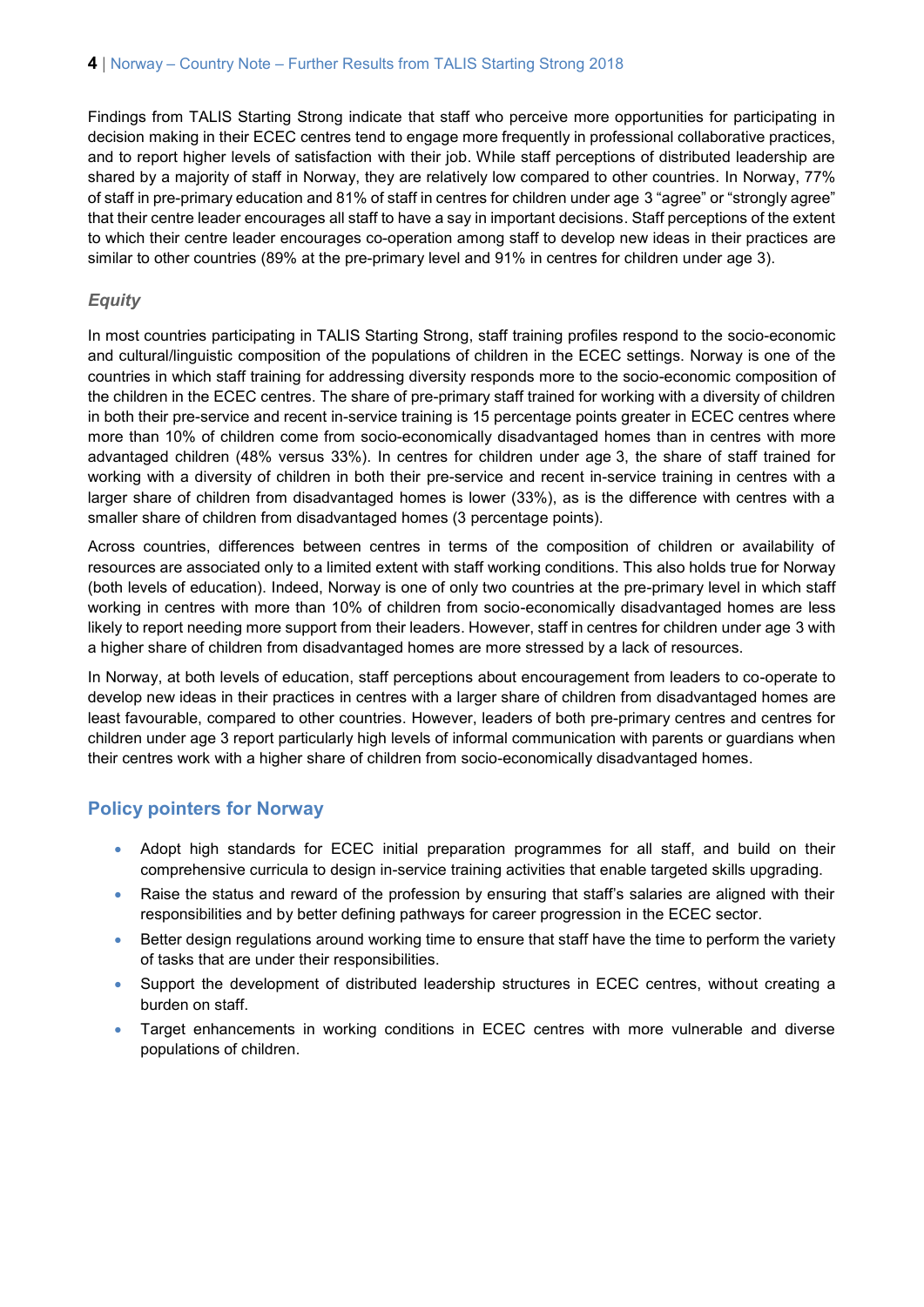Findings from TALIS Starting Strong indicate that staff who perceive more opportunities for participating in decision making in their ECEC centres tend to engage more frequently in professional collaborative practices, and to report higher levels of satisfaction with their job. While staff perceptions of distributed leadership are shared by a majority of staff in Norway, they are relatively low compared to other countries. In Norway, 77% of staff in pre-primary education and 81% of staff in centres for children under age 3 "agree" or "strongly agree" that their centre leader encourages all staff to have a say in important decisions. Staff perceptions of the extent to which their centre leader encourages co-operation among staff to develop new ideas in their practices are similar to other countries (89% at the pre-primary level and 91% in centres for children under age 3).

#### *Equity*

In most countries participating in TALIS Starting Strong, staff training profiles respond to the socio-economic and cultural/linguistic composition of the populations of children in the ECEC settings. Norway is one of the countries in which staff training for addressing diversity responds more to the socio-economic composition of the children in the ECEC centres. The share of pre-primary staff trained for working with a diversity of children in both their pre-service and recent in-service training is 15 percentage points greater in ECEC centres where more than 10% of children come from socio-economically disadvantaged homes than in centres with more advantaged children (48% versus 33%). In centres for children under age 3, the share of staff trained for working with a diversity of children in both their pre-service and recent in-service training in centres with a larger share of children from disadvantaged homes is lower (33%), as is the difference with centres with a smaller share of children from disadvantaged homes (3 percentage points).

Across countries, differences between centres in terms of the composition of children or availability of resources are associated only to a limited extent with staff working conditions. This also holds true for Norway (both levels of education). Indeed, Norway is one of only two countries at the pre-primary level in which staff working in centres with more than 10% of children from socio-economically disadvantaged homes are less likely to report needing more support from their leaders. However, staff in centres for children under age 3 with a higher share of children from disadvantaged homes are more stressed by a lack of resources.

In Norway, at both levels of education, staff perceptions about encouragement from leaders to co-operate to develop new ideas in their practices in centres with a larger share of children from disadvantaged homes are least favourable, compared to other countries. However, leaders of both pre-primary centres and centres for children under age 3 report particularly high levels of informal communication with parents or guardians when their centres work with a higher share of children from socio-economically disadvantaged homes.

### **Policy pointers for Norway**

- Adopt high standards for ECEC initial preparation programmes for all staff, and build on their comprehensive curricula to design in-service training activities that enable targeted skills upgrading.
- Raise the status and reward of the profession by ensuring that staff's salaries are aligned with their responsibilities and by better defining pathways for career progression in the ECEC sector.
- Better design regulations around working time to ensure that staff have the time to perform the variety of tasks that are under their responsibilities.
- Support the development of distributed leadership structures in ECEC centres, without creating a burden on staff.
- Target enhancements in working conditions in ECEC centres with more vulnerable and diverse populations of children.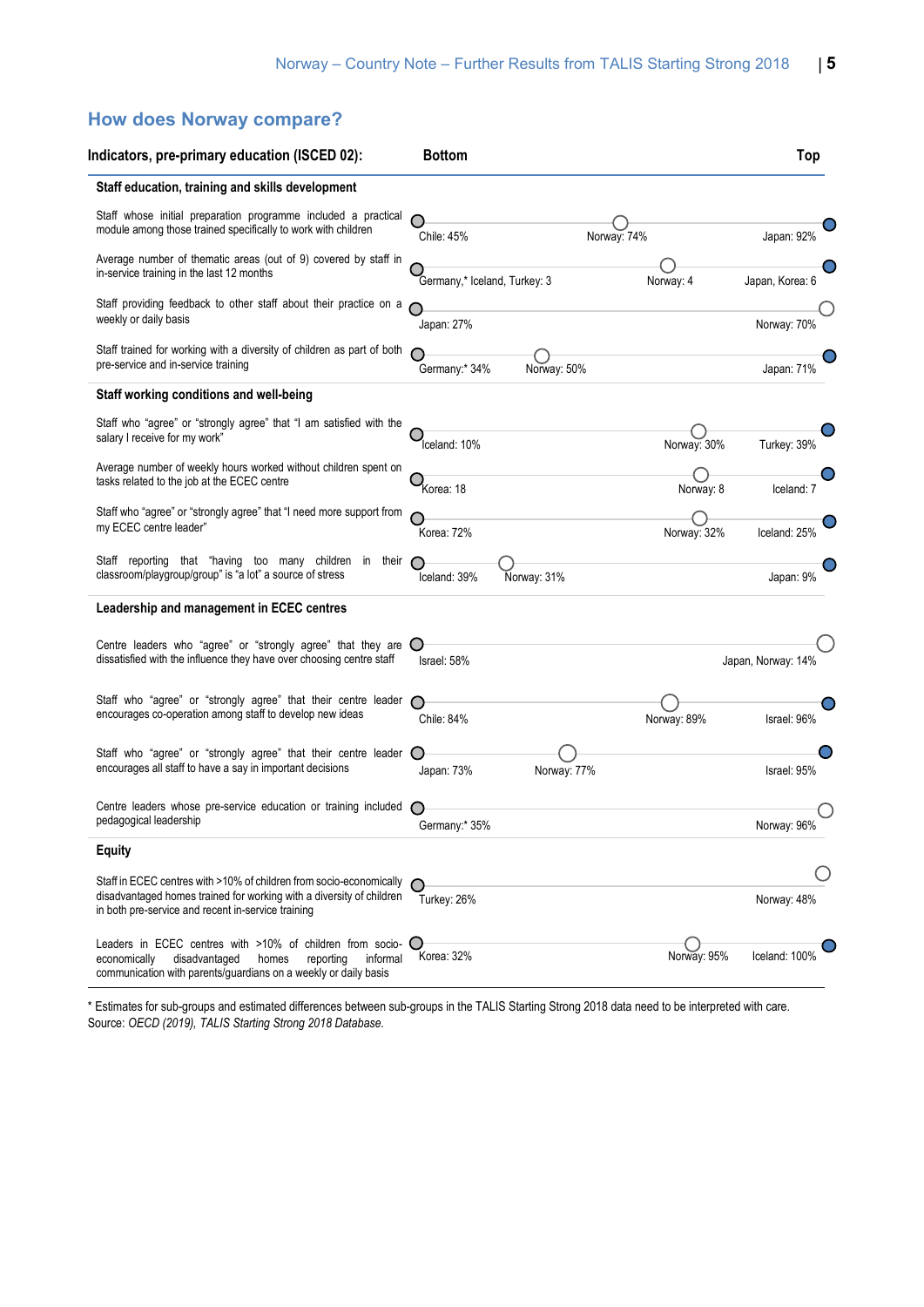## **How does Norway compare?**

| Indicators, pre-primary education (ISCED 02):                                                                                                                                                     | <b>Bottom</b>                |             |             | Top                |
|---------------------------------------------------------------------------------------------------------------------------------------------------------------------------------------------------|------------------------------|-------------|-------------|--------------------|
| Staff education, training and skills development                                                                                                                                                  |                              |             |             |                    |
| Staff whose initial preparation programme included a practical<br>module among those trained specifically to work with children                                                                   | Chile: 45%                   | Norway: 74% |             | Japan: 92%         |
| Average number of thematic areas (out of 9) covered by staff in<br>in-service training in the last 12 months                                                                                      | Germany,* Iceland, Turkey: 3 |             | Norway: 4   | Japan, Korea: 6    |
| Staff providing feedback to other staff about their practice on a<br>weekly or daily basis                                                                                                        | Japan: 27%                   |             |             | Norway: 70%        |
| Staff trained for working with a diversity of children as part of both<br>pre-service and in-service training                                                                                     | Germany:* 34%                | Norway: 50% |             | Japan: 71%         |
| Staff working conditions and well-being                                                                                                                                                           |                              |             |             |                    |
| Staff who "agree" or "strongly agree" that "I am satisfied with the<br>salary I receive for my work"                                                                                              | Iceland: 10%                 |             | Norway: 30% | Turkey: 39%        |
| Average number of weekly hours worked without children spent on<br>tasks related to the job at the ECEC centre                                                                                    | Korea: 18                    |             | Norway: 8   | Iceland: 7         |
| Staff who "agree" or "strongly agree" that "I need more support from<br>my ECEC centre leader"                                                                                                    | Korea: 72%                   |             | Norway: 32% | Iceland: 25%       |
| Staff reporting that "having too many children in their<br>classroom/playgroup/group" is "a lot" a source of stress                                                                               | Iceland: 39%                 | Norway: 31% |             | Japan: 9%          |
| Leadership and management in ECEC centres                                                                                                                                                         |                              |             |             |                    |
| Centre leaders who "agree" or "strongly agree" that they are $\bigcirc$<br>dissatisfied with the influence they have over choosing centre staff                                                   | Israel: 58%                  |             |             | Japan, Norway: 14% |
| Staff who "agree" or "strongly agree" that their centre leader<br>encourages co-operation among staff to develop new ideas                                                                        | Chile: 84%                   |             | Norway: 89% | Israel: 96%        |
| Staff who "agree" or "strongly agree" that their centre leader<br>encourages all staff to have a say in important decisions                                                                       | Japan: 73%                   | Norway: 77% |             | Israel: 95%        |
| Centre leaders whose pre-service education or training included<br>pedagogical leadership                                                                                                         | Germany:* 35%                |             |             | Norway: 96%        |
| <b>Equity</b>                                                                                                                                                                                     |                              |             |             |                    |
| Staff in ECEC centres with >10% of children from socio-economically<br>disadvantaged homes trained for working with a diversity of children<br>in both pre-service and recent in-service training | Turkey: 26%                  |             |             | Norway: 48%        |
| Leaders in ECEC centres with >10% of children from socio-<br>disadvantaged<br>reporting<br>informal<br>economically<br>homes<br>communication with parents/guardians on a weekly or daily basis   | Korea: 32%                   |             | Norway: 95% | Iceland: 100%      |

\* Estimates for sub-groups and estimated differences between sub-groups in the TALIS Starting Strong 2018 data need to be interpreted with care. Source: *OECD (2019), TALIS Starting Strong 2018 Database.*